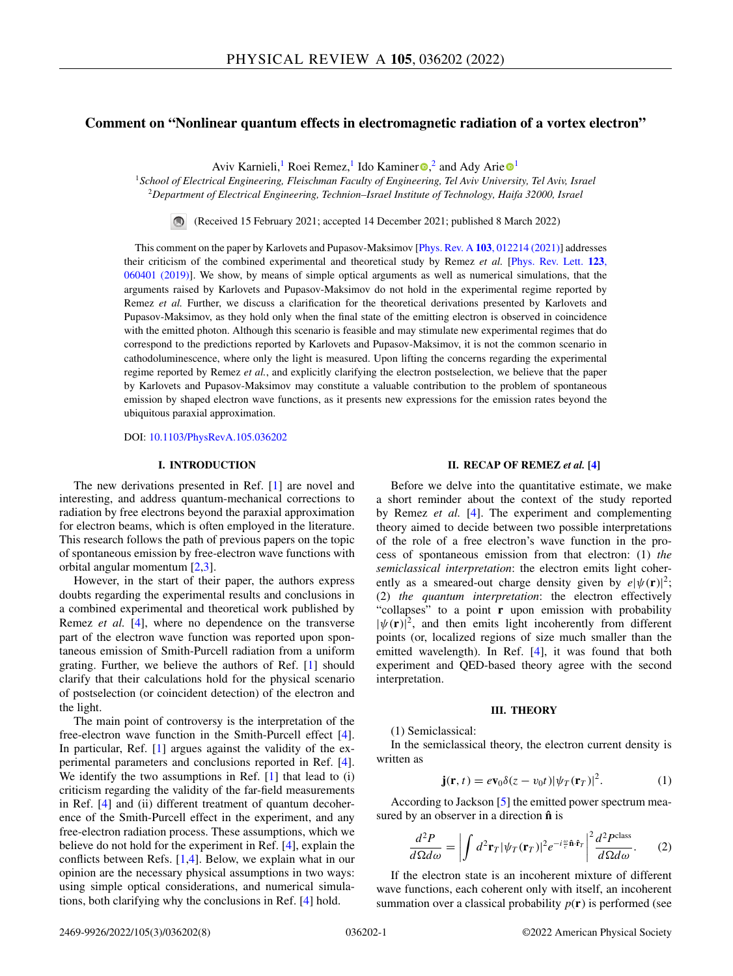## <span id="page-0-0"></span>**Comment on "Nonlinear quantum effects in electromagnetic radiation of a vortex electron"**

Aviv Ka[r](https://orcid.org/0000-0003-2691-1892)nieli,<sup>[1](https://orcid.org/0000-0001-6486-7285)</sup> Roei Remez,<sup>1</sup> Ido Kaminer  $\Phi$ ,<sup>2</sup> and Ady Arie  $\Phi$ <sup>1</sup>

<sup>1</sup>*School of Electrical Engineering, Fleischman Faculty of Engineering, Tel Aviv University, Tel Aviv, Israel* <sup>2</sup>*Department of Electrical Engineering, Technion–Israel Institute of Technology, Haifa 32000, Israel*

(Received 15 February 2021; accepted 14 December 2021; published 8 March 2022)

This comment on the paper by Karlovets and Pupasov-Maksimov [Phys. Rev. A **103**[, 012214 \(2021\)\]](https://doi.org/10.1103/PhysRevA.103.012214) addresses their criticism of the combined experimental and theoretical study by Remez *et al.* [Phys. Rev. Lett. **123**, [060401 \(2019\)\]. We show, by means of simple optical arguments as well as numerical simulations, that the](https://doi.org/10.1103/PhysRevLett.123.060401) arguments raised by Karlovets and Pupasov-Maksimov do not hold in the experimental regime reported by Remez *et al.* Further, we discuss a clarification for the theoretical derivations presented by Karlovets and Pupasov-Maksimov, as they hold only when the final state of the emitting electron is observed in coincidence with the emitted photon. Although this scenario is feasible and may stimulate new experimental regimes that do correspond to the predictions reported by Karlovets and Pupasov-Maksimov, it is not the common scenario in cathodoluminescence, where only the light is measured. Upon lifting the concerns regarding the experimental regime reported by Remez *et al.*, and explicitly clarifying the electron postselection, we believe that the paper by Karlovets and Pupasov-Maksimov may constitute a valuable contribution to the problem of spontaneous emission by shaped electron wave functions, as it presents new expressions for the emission rates beyond the ubiquitous paraxial approximation.

DOI: [10.1103/PhysRevA.105.036202](https://doi.org/10.1103/PhysRevA.105.036202)

#### **I. INTRODUCTION**

The new derivations presented in Ref. [\[1\]](#page-7-0) are novel and interesting, and address quantum-mechanical corrections to radiation by free electrons beyond the paraxial approximation for electron beams, which is often employed in the literature. This research follows the path of previous papers on the topic of spontaneous emission by free-electron wave functions with orbital angular momentum [\[2,3\]](#page-7-0).

However, in the start of their paper, the authors express doubts regarding the experimental results and conclusions in a combined experimental and theoretical work published by Remez *et al.* [\[4\]](#page-7-0), where no dependence on the transverse part of the electron wave function was reported upon spontaneous emission of Smith-Purcell radiation from a uniform grating. Further, we believe the authors of Ref. [\[1\]](#page-7-0) should clarify that their calculations hold for the physical scenario of postselection (or coincident detection) of the electron and the light.

The main point of controversy is the interpretation of the free-electron wave function in the Smith-Purcell effect [\[4\]](#page-7-0). In particular, Ref. [\[1\]](#page-7-0) argues against the validity of the experimental parameters and conclusions reported in Ref. [\[4\]](#page-7-0). We identify the two assumptions in Ref. [\[1\]](#page-7-0) that lead to (i) criticism regarding the validity of the far-field measurements in Ref. [\[4\]](#page-7-0) and (ii) different treatment of quantum decoherence of the Smith-Purcell effect in the experiment, and any free-electron radiation process. These assumptions, which we believe do not hold for the experiment in Ref. [\[4\]](#page-7-0), explain the conflicts between Refs. [\[1,4\]](#page-7-0). Below, we explain what in our opinion are the necessary physical assumptions in two ways: using simple optical considerations, and numerical simulations, both clarifying why the conclusions in Ref. [\[4\]](#page-7-0) hold.

#### **II. RECAP OF REMEZ** *et al.* **[\[4\]](#page-7-0)**

Before we delve into the quantitative estimate, we make a short reminder about the context of the study reported by Remez *et al.* [\[4\]](#page-7-0). The experiment and complementing theory aimed to decide between two possible interpretations of the role of a free electron's wave function in the process of spontaneous emission from that electron: (1) *the semiclassical interpretation*: the electron emits light coherently as a smeared-out charge density given by  $e|\psi(\mathbf{r})|^2$ ; (2) *the quantum interpretation*: the electron effectively "collapses" to a point **r** upon emission with probability  $|\psi(\mathbf{r})|^2$ , and then emits light incoherently from different points (or, localized regions of size much smaller than the emitted wavelength). In Ref. [\[4\]](#page-7-0), it was found that both experiment and QED-based theory agree with the second interpretation.

#### **III. THEORY**

(1) Semiclassical:

In the semiclassical theory, the electron current density is written as

$$
\mathbf{j}(\mathbf{r},t) = e\mathbf{v}_0 \delta(z - v_0 t) |\psi_T(\mathbf{r}_T)|^2. \tag{1}
$$

According to Jackson [\[5\]](#page-7-0) the emitted power spectrum measured by an observer in a direction **nˆ** is

$$
\frac{d^2P}{d\Omega d\omega} = \left| \int d^2 \mathbf{r}_T |\psi_T(\mathbf{r}_T)|^2 e^{-i\frac{\omega}{c} \hat{\mathbf{n}} \cdot \hat{\mathbf{r}}_T} \right|^2 \frac{d^2 P^{\text{class}}}{d\Omega d\omega}.
$$
 (2)

If the electron state is an incoherent mixture of different wave functions, each coherent only with itself, an incoherent summation over a classical probability  $p(\mathbf{r})$  is performed (see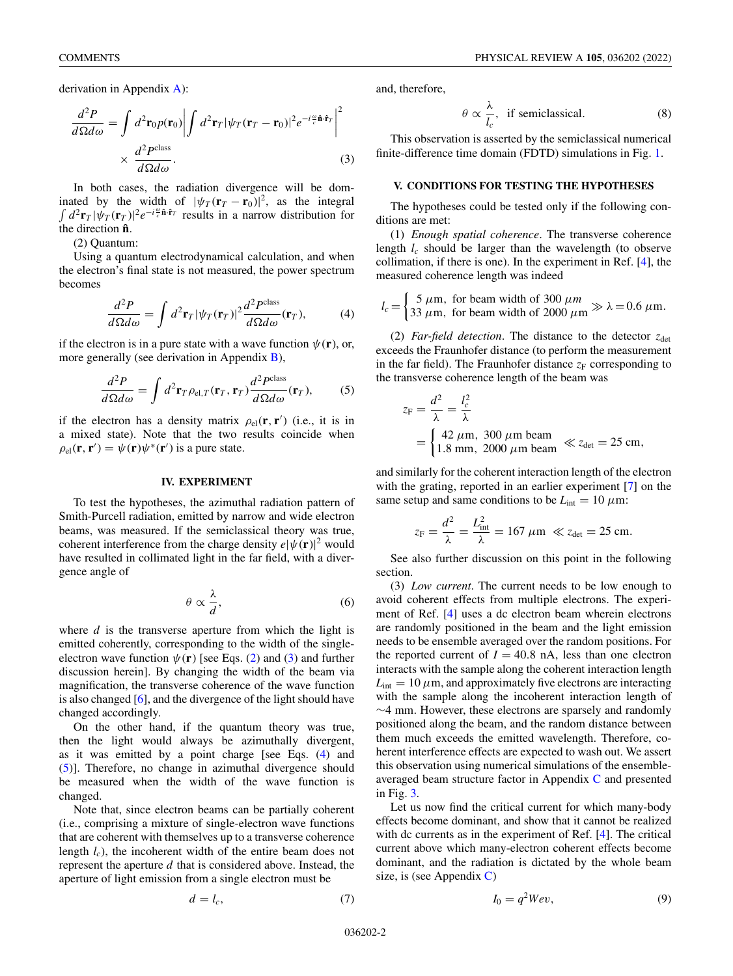<span id="page-1-0"></span>derivation in Appendix [A\)](#page-5-0):

$$
\frac{d^2P}{d\Omega d\omega} = \int d^2 \mathbf{r}_0 p(\mathbf{r}_0) \left| \int d^2 \mathbf{r}_T |\psi_T(\mathbf{r}_T - \mathbf{r}_0)|^2 e^{-i\frac{\omega}{c} \hat{\mathbf{n}} \cdot \hat{\mathbf{r}}_T} \right|^2
$$
  
 
$$
\times \frac{d^2 P^{\text{class}}}{d\Omega d\omega}.
$$
 (3)

In both cases, the radiation divergence will be dominated by the width of  $|\psi_T(\mathbf{r}_T - \mathbf{r}_0)|^2$ , as the integral  $\int d^2 \mathbf{r}_T |\psi_T(\mathbf{r}_T)|^2 e^{-i\frac{\omega}{c} \hat{\mathbf{n}} \cdot \hat{\mathbf{r}}_T}$  results in a narrow distribution for the direction **nˆ**.

(2) Quantum:

Using a quantum electrodynamical calculation, and when the electron's final state is not measured, the power spectrum becomes

$$
\frac{d^2P}{d\Omega d\omega} = \int d^2 \mathbf{r}_T |\psi_T(\mathbf{r}_T)|^2 \frac{d^2 P^{\text{class}}}{d\Omega d\omega}(\mathbf{r}_T),\tag{4}
$$

if the electron is in a pure state with a wave function  $\psi(\mathbf{r})$ , or, more generally (see derivation in Appendix [B\)](#page-5-0),

$$
\frac{d^2P}{d\Omega d\omega} = \int d^2 \mathbf{r}_T \rho_{\text{el},T}(\mathbf{r}_T, \mathbf{r}_T) \frac{d^2 P^{\text{class}}}{d\Omega d\omega}(\mathbf{r}_T),\tag{5}
$$

if the electron has a density matrix  $\rho_{el}(\mathbf{r}, \mathbf{r}')$  (i.e., it is in a mixed state). Note that the two results coincide when  $\rho_{el}(\mathbf{r}, \mathbf{r}') = \psi(\mathbf{r})\psi^*(\mathbf{r}')$  is a pure state.

#### **IV. EXPERIMENT**

To test the hypotheses, the azimuthal radiation pattern of Smith-Purcell radiation, emitted by narrow and wide electron beams, was measured. If the semiclassical theory was true, coherent interference from the charge density  $e|\psi(\mathbf{r})|^2$  would have resulted in collimated light in the far field, with a divergence angle of

$$
\theta \propto \frac{\lambda}{d},\tag{6}
$$

where *d* is the transverse aperture from which the light is emitted coherently, corresponding to the width of the singleelectron wave function  $\psi(\mathbf{r})$  [see Eqs. [\(2\)](#page-0-0) and (3) and further discussion herein]. By changing the width of the beam via magnification, the transverse coherence of the wave function is also changed [\[6\]](#page-7-0), and the divergence of the light should have changed accordingly.

On the other hand, if the quantum theory was true, then the light would always be azimuthally divergent, as it was emitted by a point charge [see Eqs. (4) and (5)]. Therefore, no change in azimuthal divergence should be measured when the width of the wave function is changed.

Note that, since electron beams can be partially coherent (i.e., comprising a mixture of single-electron wave functions that are coherent with themselves up to a transverse coherence length *lc*), the incoherent width of the entire beam does not represent the aperture *d* that is considered above. Instead, the aperture of light emission from a single electron must be

$$
d = l_c,\tag{7}
$$

and, therefore,

$$
\theta \propto \frac{\lambda}{l_c}
$$
, if semiclassical. (8)

This observation is asserted by the semiclassical numerical finite-difference time domain (FDTD) simulations in Fig. [1.](#page-2-0)

#### **V. CONDITIONS FOR TESTING THE HYPOTHESES**

The hypotheses could be tested only if the following conditions are met:

(1) *Enough spatial coherence*. The transverse coherence length *lc* should be larger than the wavelength (to observe collimation, if there is one). In the experiment in Ref. [\[4\]](#page-7-0), the measured coherence length was indeed

$$
l_c = \begin{cases} 5 \ \mu \text{m}, \text{ for beam width of } 300 \ \mu \text{m} \\ 33 \ \mu \text{m}, \text{ for beam width of } 2000 \ \mu \text{m} \end{cases} \gg \lambda = 0.6 \ \mu \text{m}.
$$

(2) *Far-field detection*. The distance to the detector  $z_{\text{det}}$ exceeds the Fraunhofer distance (to perform the measurement in the far field). The Fraunhofer distance  $z_F$  corresponding to the transverse coherence length of the beam was

$$
z_{\rm F} = \frac{d^2}{\lambda} = \frac{l_c^2}{\lambda}
$$
  
=  $\begin{cases} 42 \ \mu \text{m}, \ 300 \ \mu \text{m beam} \\ 1.8 \ \text{mm}, \ 2000 \ \mu \text{m beam} \end{cases} \ll z_{\rm det} = 25 \text{ cm},$ 

and similarly for the coherent interaction length of the electron with the grating, reported in an earlier experiment [\[7\]](#page-7-0) on the same setup and same conditions to be  $L_{\text{int}} = 10 \ \mu \text{m}$ :

$$
z_{\rm F} = \frac{d^2}{\lambda} = \frac{L_{\rm int}^2}{\lambda} = 167 \ \mu \text{m} \ \ll z_{\rm det} = 25 \ \text{cm}.
$$

See also further discussion on this point in the following section.

(3) *Low current*. The current needs to be low enough to avoid coherent effects from multiple electrons. The experiment of Ref. [\[4\]](#page-7-0) uses a dc electron beam wherein electrons are randomly positioned in the beam and the light emission needs to be ensemble averaged over the random positions. For the reported current of  $I = 40.8$  nA, less than one electron interacts with the sample along the coherent interaction length  $L_{\text{int}} = 10 \,\mu$ m, and approximately five electrons are interacting with the sample along the incoherent interaction length of ∼4 mm. However, these electrons are sparsely and randomly positioned along the beam, and the random distance between them much exceeds the emitted wavelength. Therefore, coherent interference effects are expected to wash out. We assert this observation using numerical simulations of the ensembleaveraged beam structure factor in Appendix [C](#page-6-0) and presented in Fig. [3.](#page-6-0)

Let us now find the critical current for which many-body effects become dominant, and show that it cannot be realized with dc currents as in the experiment of Ref. [\[4\]](#page-7-0). The critical current above which many-electron coherent effects become dominant, and the radiation is dictated by the whole beam size, is (see Appendix  $C$ )

$$
I_0 = q^2 W e v,\t\t(9)
$$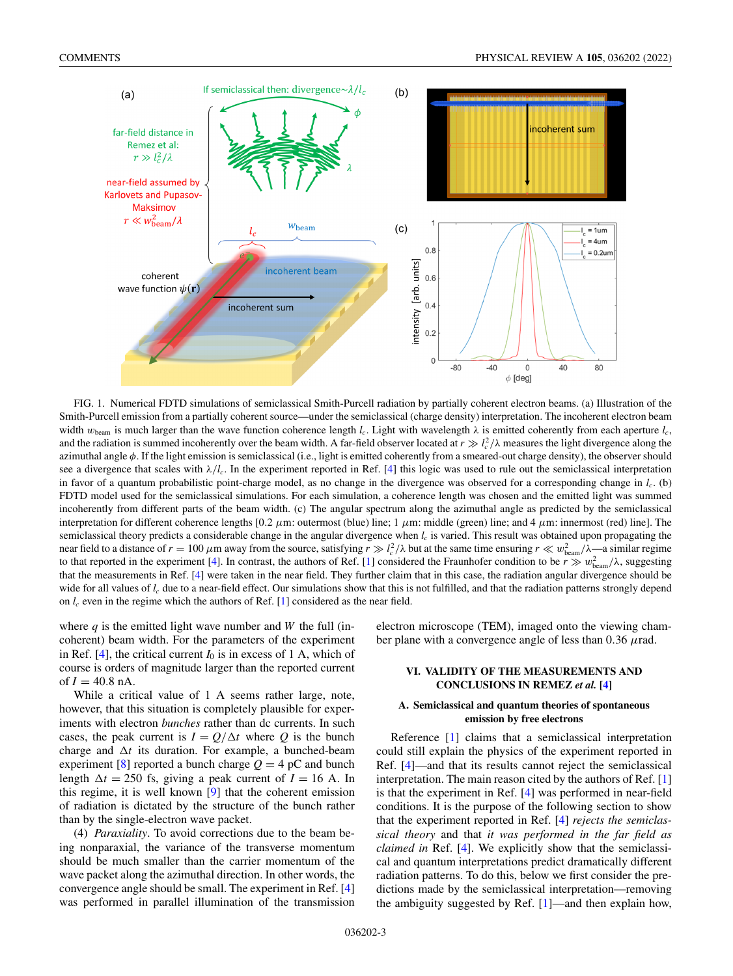<span id="page-2-0"></span>

FIG. 1. Numerical FDTD simulations of semiclassical Smith-Purcell radiation by partially coherent electron beams. (a) Illustration of the Smith-Purcell emission from a partially coherent source—under the semiclassical (charge density) interpretation. The incoherent electron beam width  $w_{\text{beam}}$  is much larger than the wave function coherence length  $l_c$ . Light with wavelength  $\lambda$  is emitted coherently from each aperture  $l_c$ , and the radiation is summed incoherently over the beam width. A far-field observer located at  $r \gg l_c^2/\lambda$  measures the light divergence along the azimuthal angle φ. If the light emission is semiclassical (i.e., light is emitted coherently from a smeared-out charge density), the observer should see a divergence that scales with λ/*lc*. In the experiment reported in Ref. [\[4\]](#page-7-0) this logic was used to rule out the semiclassical interpretation in favor of a quantum probabilistic point-charge model, as no change in the divergence was observed for a corresponding change in  $l_c$ . (b) FDTD model used for the semiclassical simulations. For each simulation, a coherence length was chosen and the emitted light was summed incoherently from different parts of the beam width. (c) The angular spectrum along the azimuthal angle as predicted by the semiclassical interpretation for different coherence lengths  $[0.2 \mu m$ : outermost (blue) line; 1  $\mu$ m: middle (green) line; and 4  $\mu$ m: innermost (red) line]. The semiclassical theory predicts a considerable change in the angular divergence when  $l_c$  is varied. This result was obtained upon propagating the near field to a distance of  $r = 100 \mu$ m away from the source, satisfying  $r \gg l_c^2/\lambda$  but at the same time ensuring  $r \ll w_{\text{beam}}^2/\lambda$ —a similar regime to that reported in the experiment [\[4\]](#page-7-0). In contrast, the authors of Ref. [\[1\]](#page-7-0) considered the Fraunhofer condition to be  $r \gg w_{\text{beam}}^2/\lambda$ , suggesting that the measurements in Ref. [\[4\]](#page-7-0) were taken in the near field. They further claim that in this case, the radiation angular divergence should be wide for all values of *l<sub>c</sub>* due to a near-field effect. Our simulations show that this is not fulfilled, and that the radiation patterns strongly depend on  $l_c$  even in the regime which the authors of Ref. [\[1\]](#page-7-0) considered as the near field.

where  $q$  is the emitted light wave number and  $W$  the full (incoherent) beam width. For the parameters of the experiment in Ref. [\[4\]](#page-7-0), the critical current  $I_0$  is in excess of 1 A, which of course is orders of magnitude larger than the reported current of  $I = 40.8$  nA.

While a critical value of 1 A seems rather large, note, however, that this situation is completely plausible for experiments with electron *bunches* rather than dc currents. In such cases, the peak current is  $I = Q/\Delta t$  where Q is the bunch charge and  $\Delta t$  its duration. For example, a bunched-beam experiment [\[8\]](#page-7-0) reported a bunch charge  $Q = 4$  pC and bunch length  $\Delta t = 250$  fs, giving a peak current of  $I = 16$  A. In this regime, it is well known [\[9\]](#page-7-0) that the coherent emission of radiation is dictated by the structure of the bunch rather than by the single-electron wave packet.

(4) *Paraxiality*. To avoid corrections due to the beam being nonparaxial, the variance of the transverse momentum should be much smaller than the carrier momentum of the wave packet along the azimuthal direction. In other words, the convergence angle should be small. The experiment in Ref. [\[4\]](#page-7-0) was performed in parallel illumination of the transmission

electron microscope (TEM), imaged onto the viewing chamber plane with a convergence angle of less than  $0.36 \mu$ rad.

## **VI. VALIDITY OF THE MEASUREMENTS AND CONCLUSIONS IN REMEZ** *et al.* **[\[4\]](#page-7-0)**

### **A. Semiclassical and quantum theories of spontaneous emission by free electrons**

Reference [\[1\]](#page-7-0) claims that a semiclassical interpretation could still explain the physics of the experiment reported in Ref. [\[4\]](#page-7-0)—and that its results cannot reject the semiclassical interpretation. The main reason cited by the authors of Ref. [\[1\]](#page-7-0) is that the experiment in Ref. [\[4\]](#page-7-0) was performed in near-field conditions. It is the purpose of the following section to show that the experiment reported in Ref. [\[4\]](#page-7-0) *rejects the semiclassical theory* and that *it was performed in the far field as claimed in* Ref. [\[4\]](#page-7-0). We explicitly show that the semiclassical and quantum interpretations predict dramatically different radiation patterns. To do this, below we first consider the predictions made by the semiclassical interpretation—removing the ambiguity suggested by Ref. [\[1\]](#page-7-0)—and then explain how,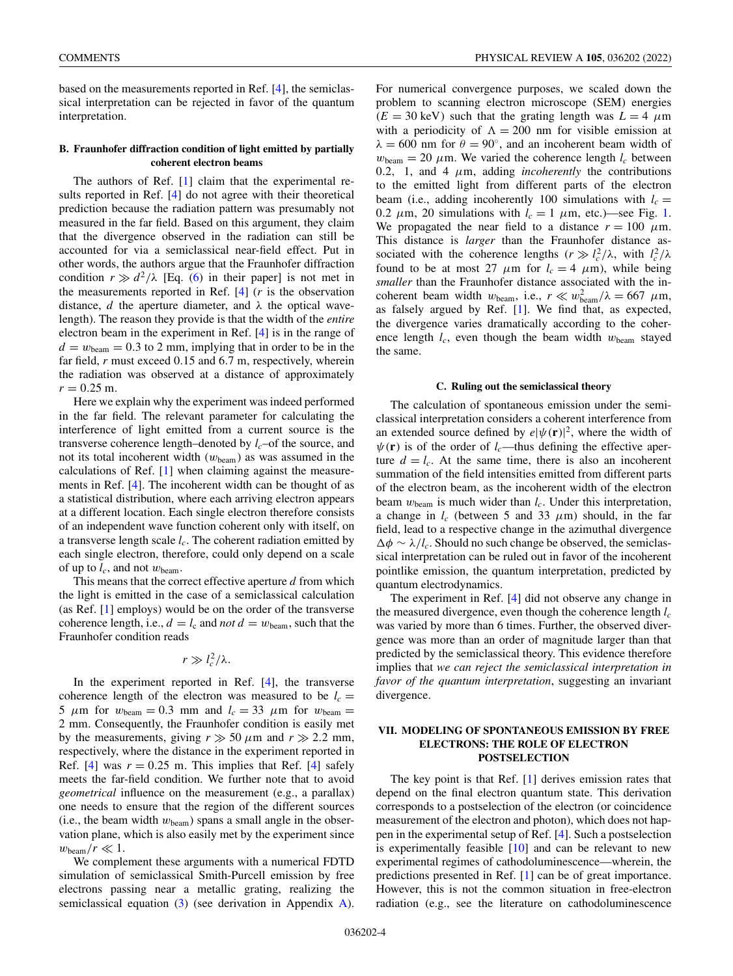based on the measurements reported in Ref. [\[4\]](#page-7-0), the semiclassical interpretation can be rejected in favor of the quantum interpretation.

## **B. Fraunhofer diffraction condition of light emitted by partially coherent electron beams**

The authors of Ref. [\[1\]](#page-7-0) claim that the experimental results reported in Ref. [\[4\]](#page-7-0) do not agree with their theoretical prediction because the radiation pattern was presumably not measured in the far field. Based on this argument, they claim that the divergence observed in the radiation can still be accounted for via a semiclassical near-field effect. Put in other words, the authors argue that the Fraunhofer diffraction condition  $r \gg d^2/\lambda$  [Eq. [\(6\)](#page-1-0) in their paper] is not met in the measurements reported in Ref. [\[4\]](#page-7-0) (*r* is the observation distance, *d* the aperture diameter, and  $\lambda$  the optical wavelength). The reason they provide is that the width of the *entire* electron beam in the experiment in Ref. [\[4\]](#page-7-0) is in the range of  $d = w_{\text{beam}} = 0.3$  to 2 mm, implying that in order to be in the far field, *r* must exceed 0.15 and 6.7 m, respectively, wherein the radiation was observed at a distance of approximately  $r = 0.25$  m.

Here we explain why the experiment was indeed performed in the far field. The relevant parameter for calculating the interference of light emitted from a current source is the transverse coherence length–denoted by  $l_c$ –of the source, and not its total incoherent width (*w*beam) as was assumed in the calculations of Ref. [\[1\]](#page-7-0) when claiming against the measurements in Ref. [\[4\]](#page-7-0). The incoherent width can be thought of as a statistical distribution, where each arriving electron appears at a different location. Each single electron therefore consists of an independent wave function coherent only with itself, on a transverse length scale  $l_c$ . The coherent radiation emitted by each single electron, therefore, could only depend on a scale of up to  $l_c$ , and not  $w_{\text{beam}}$ .

This means that the correct effective aperture *d* from which the light is emitted in the case of a semiclassical calculation (as Ref. [\[1\]](#page-7-0) employs) would be on the order of the transverse coherence length, i.e.,  $d = l_c$  and *not*  $d = w_{\text{beam}}$ , such that the Fraunhofer condition reads

$$
r\gg l_c^2/\lambda.
$$

In the experiment reported in Ref. [\[4\]](#page-7-0), the transverse coherence length of the electron was measured to be  $l_c$  = 5  $\mu$ m for  $w_{\text{beam}} = 0.3$  mm and  $l_c = 33$   $\mu$ m for  $w_{\text{beam}} =$ 2 mm. Consequently, the Fraunhofer condition is easily met by the measurements, giving  $r \gg 50 \ \mu \text{m}$  and  $r \gg 2.2 \ \text{mm}$ , respectively, where the distance in the experiment reported in Ref.  $[4]$  was  $r = 0.25$  m. This implies that Ref.  $[4]$  safely meets the far-field condition. We further note that to avoid *geometrical* influence on the measurement (e.g., a parallax) one needs to ensure that the region of the different sources (i.e., the beam width  $w_{\text{beam}}$ ) spans a small angle in the observation plane, which is also easily met by the experiment since  $w_{\text{beam}}/r \ll 1$ .

We complement these arguments with a numerical FDTD simulation of semiclassical Smith-Purcell emission by free electrons passing near a metallic grating, realizing the semiclassical equation [\(3\)](#page-1-0) (see derivation in Appendix [A\)](#page-5-0).

For numerical convergence purposes, we scaled down the problem to scanning electron microscope (SEM) energies  $(E = 30 \text{ keV})$  such that the grating length was  $L = 4 \mu m$ with a periodicity of  $\Lambda = 200$  nm for visible emission at  $\lambda = 600$  nm for  $\theta = 90^{\circ}$ , and an incoherent beam width of  $w_{\text{beam}} = 20 \ \mu \text{m}$ . We varied the coherence length  $l_c$  between 0.2, 1, and 4  $\mu$ m, adding *incoherently* the contributions to the emitted light from different parts of the electron beam (i.e., adding incoherently 100 simulations with  $l_c =$ 0.2  $\mu$ m, 20 simulations with  $l_c = 1 \mu$ m, etc.)—see Fig. [1.](#page-2-0) We propagated the near field to a distance  $r = 100 \mu m$ . This distance is *larger* than the Fraunhofer distance associated with the coherence lengths  $(r \gg l_c^2/\lambda$ , with  $l_c^2/\lambda$ found to be at most 27  $\mu$ m for  $l_c = 4 \mu$ m), while being *smaller* than the Fraunhofer distance associated with the incoherent beam width  $w_{\text{beam}}$ , i.e.,  $r \ll w_{\text{beam}}^2/\lambda = 667 \mu \text{m}$ , as falsely argued by Ref. [\[1\]](#page-7-0). We find that, as expected, the divergence varies dramatically according to the coherence length  $l_c$ , even though the beam width  $w_{\text{beam}}$  stayed the same.

#### **C. Ruling out the semiclassical theory**

The calculation of spontaneous emission under the semiclassical interpretation considers a coherent interference from an extended source defined by  $e|\psi(\mathbf{r})|^2$ , where the width of  $\psi(\mathbf{r})$  is of the order of *l<sub>c</sub>*—thus defining the effective aperture  $d = l_c$ . At the same time, there is also an incoherent summation of the field intensities emitted from different parts of the electron beam, as the incoherent width of the electron beam  $w_{\text{beam}}$  is much wider than  $l_c$ . Under this interpretation, a change in  $l_c$  (between 5 and 33  $\mu$ m) should, in the far field, lead to a respective change in the azimuthal divergence φ ∼ λ/*lc*. Should no such change be observed, the semiclassical interpretation can be ruled out in favor of the incoherent pointlike emission, the quantum interpretation, predicted by quantum electrodynamics.

The experiment in Ref. [\[4\]](#page-7-0) did not observe any change in the measured divergence, even though the coherence length  $l_c$ was varied by more than 6 times. Further, the observed divergence was more than an order of magnitude larger than that predicted by the semiclassical theory. This evidence therefore implies that *we can reject the semiclassical interpretation in favor of the quantum interpretation*, suggesting an invariant divergence.

## **VII. MODELING OF SPONTANEOUS EMISSION BY FREE ELECTRONS: THE ROLE OF ELECTRON POSTSELECTION**

The key point is that Ref. [\[1\]](#page-7-0) derives emission rates that depend on the final electron quantum state. This derivation corresponds to a postselection of the electron (or coincidence measurement of the electron and photon), which does not happen in the experimental setup of Ref. [\[4\]](#page-7-0). Such a postselection is experimentally feasible  $[10]$  and can be relevant to new experimental regimes of cathodoluminescence—wherein, the predictions presented in Ref. [\[1\]](#page-7-0) can be of great importance. However, this is not the common situation in free-electron radiation (e.g., see the literature on cathodoluminescence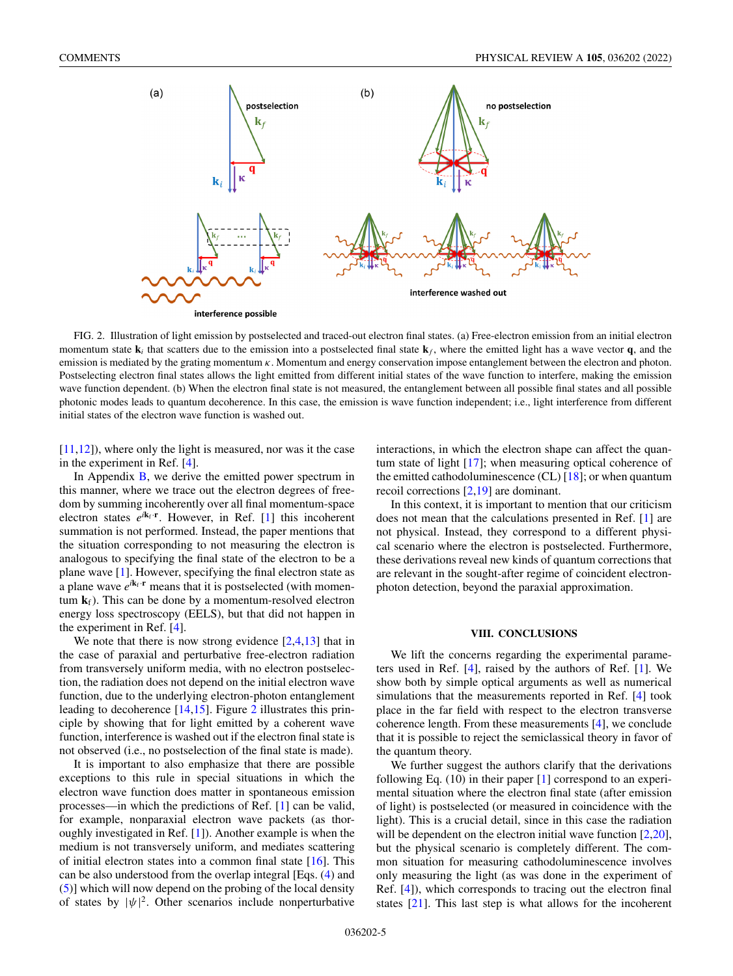

FIG. 2. Illustration of light emission by postselected and traced-out electron final states. (a) Free-electron emission from an initial electron momentum state  $\mathbf{k}_i$  that scatters due to the emission into a postselected final state  $\mathbf{k}_f$ , where the emitted light has a wave vector **q**, and the emission is mediated by the grating momentum  $\kappa$ . Momentum and energy conservation impose entanglement between the electron and photon. Postselecting electron final states allows the light emitted from different initial states of the wave function to interfere, making the emission wave function dependent. (b) When the electron final state is not measured, the entanglement between all possible final states and all possible photonic modes leads to quantum decoherence. In this case, the emission is wave function independent; i.e., light interference from different initial states of the electron wave function is washed out.

[\[11,12\]](#page-7-0)), where only the light is measured, nor was it the case in the experiment in Ref. [\[4\]](#page-7-0).

In Appendix  $\overline{B}$ , we derive the emitted power spectrum in this manner, where we trace out the electron degrees of freedom by summing incoherently over all final momentum-space electron states  $e^{i\mathbf{k}_f \cdot \mathbf{r}}$ . However, in Ref. [\[1\]](#page-7-0) this incoherent summation is not performed. Instead, the paper mentions that the situation corresponding to not measuring the electron is analogous to specifying the final state of the electron to be a plane wave [\[1\]](#page-7-0). However, specifying the final electron state as a plane wave  $e^{i\mathbf{k}_f \cdot \mathbf{r}}$  means that it is postselected (with momentum  $\mathbf{k}_f$ ). This can be done by a momentum-resolved electron energy loss spectroscopy (EELS), but that did not happen in the experiment in Ref. [\[4\]](#page-7-0).

We note that there is now strong evidence  $[2,4,13]$  that in the case of paraxial and perturbative free-electron radiation from transversely uniform media, with no electron postselection, the radiation does not depend on the initial electron wave function, due to the underlying electron-photon entanglement leading to decoherence [\[14,15\]](#page-7-0). Figure 2 illustrates this principle by showing that for light emitted by a coherent wave function, interference is washed out if the electron final state is not observed (i.e., no postselection of the final state is made).

It is important to also emphasize that there are possible exceptions to this rule in special situations in which the electron wave function does matter in spontaneous emission processes—in which the predictions of Ref. [\[1\]](#page-7-0) can be valid, for example, nonparaxial electron wave packets (as thoroughly investigated in Ref. [\[1\]](#page-7-0)). Another example is when the medium is not transversely uniform, and mediates scattering of initial electron states into a common final state [\[16\]](#page-7-0). This can be also understood from the overlap integral [Eqs. [\(4\)](#page-1-0) and [\(5\)](#page-1-0)] which will now depend on the probing of the local density of states by  $|\psi|^2$ . Other scenarios include nonperturbative

interactions, in which the electron shape can affect the quantum state of light [\[17\]](#page-7-0); when measuring optical coherence of the emitted cathodoluminescence  $(CL)$  [\[18\]](#page-7-0); or when quantum recoil corrections [\[2,19\]](#page-7-0) are dominant.

In this context, it is important to mention that our criticism does not mean that the calculations presented in Ref. [\[1\]](#page-7-0) are not physical. Instead, they correspond to a different physical scenario where the electron is postselected. Furthermore, these derivations reveal new kinds of quantum corrections that are relevant in the sought-after regime of coincident electronphoton detection, beyond the paraxial approximation.

## **VIII. CONCLUSIONS**

We lift the concerns regarding the experimental parameters used in Ref. [\[4\]](#page-7-0), raised by the authors of Ref. [\[1\]](#page-7-0). We show both by simple optical arguments as well as numerical simulations that the measurements reported in Ref. [\[4\]](#page-7-0) took place in the far field with respect to the electron transverse coherence length. From these measurements [\[4\]](#page-7-0), we conclude that it is possible to reject the semiclassical theory in favor of the quantum theory.

We further suggest the authors clarify that the derivations following Eq.  $(10)$  in their paper  $[1]$  correspond to an experimental situation where the electron final state (after emission of light) is postselected (or measured in coincidence with the light). This is a crucial detail, since in this case the radiation will be dependent on the electron initial wave function [\[2,20\]](#page-7-0), but the physical scenario is completely different. The common situation for measuring cathodoluminescence involves only measuring the light (as was done in the experiment of Ref. [\[4\]](#page-7-0)), which corresponds to tracing out the electron final states [\[21\]](#page-7-0). This last step is what allows for the incoherent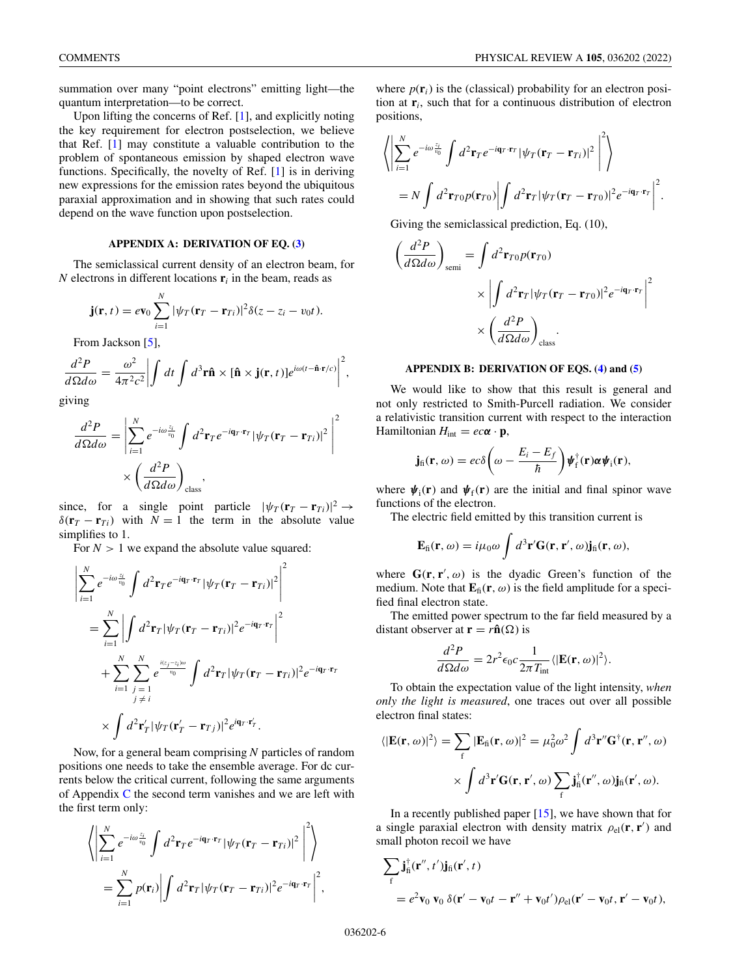<span id="page-5-0"></span>summation over many "point electrons" emitting light—the quantum interpretation—to be correct.

Upon lifting the concerns of Ref. [\[1\]](#page-7-0), and explicitly noting the key requirement for electron postselection, we believe that Ref. [\[1\]](#page-7-0) may constitute a valuable contribution to the problem of spontaneous emission by shaped electron wave functions. Specifically, the novelty of Ref. [\[1\]](#page-7-0) is in deriving new expressions for the emission rates beyond the ubiquitous paraxial approximation and in showing that such rates could depend on the wave function upon postselection.

## **APPENDIX A: DERIVATION OF EQ. [\(3\)](#page-1-0)**

The semiclassical current density of an electron beam, for  $N$  electrons in different locations  $\mathbf{r}_i$  in the beam, reads as

$$
\mathbf{j}(\mathbf{r},t)=e\mathbf{v}_0\sum_{i=1}^N|\psi_T(\mathbf{r}_T-\mathbf{r}_{Ti})|^2\delta(z-z_i-v_0t).
$$

From Jackson [\[5\]](#page-7-0),

$$
\frac{d^2P}{d\Omega d\omega} = \frac{\omega^2}{4\pi^2 c^2} \left| \int dt \int d^3 \mathbf{r} \hat{\mathbf{n}} \times [\hat{\mathbf{n}} \times \mathbf{j}(\mathbf{r}, t)] e^{i\omega(t - \hat{\mathbf{n}} \cdot \mathbf{r}/c)} \right|^2,
$$

giving

 $\overline{\phantom{a}}$  $\overline{\phantom{a}}$  $\overline{\phantom{a}}$  $\overline{\phantom{a}}$  $\mid$ 

$$
\frac{d^2 P}{d\Omega d\omega} = \left| \sum_{i=1}^{N} e^{-i\omega \frac{z_i}{v_0}} \int d^2 \mathbf{r}_T e^{-i\mathbf{q}_T \cdot \mathbf{r}_T} |\psi_T(\mathbf{r}_T - \mathbf{r}_{Ti})|^2 \right|^2
$$

$$
\times \left( \frac{d^2 P}{d\Omega d\omega} \right)_{\text{class}},
$$

since, for a single point particle  $|\psi_T(\mathbf{r}_T - \mathbf{r}_{Ti})|^2 \rightarrow$  $\delta(\mathbf{r}_T - \mathbf{r}_{T_i})$  with  $N = 1$  the term in the absolute value simplifies to 1.

For  $N > 1$  we expand the absolute value squared:

$$
\sum_{i=1}^{N} e^{-i\omega \frac{z_i}{v_0}} \int d^2 \mathbf{r}_T e^{-i\mathbf{q}_T \cdot \mathbf{r}_T} |\psi_T(\mathbf{r}_T - \mathbf{r}_{Ti})|^2 \Big|^2
$$
\n
$$
= \sum_{i=1}^{N} \left| \int d^2 \mathbf{r}_T |\psi_T(\mathbf{r}_T - \mathbf{r}_{Ti})|^2 e^{-i\mathbf{q}_T \cdot \mathbf{r}_T} \right|^2
$$
\n
$$
+ \sum_{i=1}^{N} \sum_{\substack{j=1 \ j \neq i}}^{N} e^{\frac{i(z_j - z_i)\omega}{v_0}} \int d^2 \mathbf{r}_T |\psi_T(\mathbf{r}_T - \mathbf{r}_{Ti})|^2 e^{-i\mathbf{q}_T \cdot \mathbf{r}_T}
$$
\n
$$
\times \int d^2 \mathbf{r}'_T |\psi_T(\mathbf{r}'_T - \mathbf{r}_{Tj})|^2 e^{i\mathbf{q}_T \cdot \mathbf{r}'_T}.
$$

Now, for a general beam comprising *N* particles of random positions one needs to take the ensemble average. For dc currents below the critical current, following the same arguments of Appendix [C](#page-6-0) the second term vanishes and we are left with the first term only:

$$
\left\langle \left| \sum_{i=1}^{N} e^{-i\omega \frac{z_i}{v_0}} \int d^2 \mathbf{r}_T e^{-i\mathbf{q}_T \cdot \mathbf{r}_T} |\psi_T(\mathbf{r}_T - \mathbf{r}_{Ti})|^2 \right|^2 \right\rangle
$$
  
= 
$$
\sum_{i=1}^{N} p(\mathbf{r}_i) \left| \int d^2 \mathbf{r}_T |\psi_T(\mathbf{r}_T - \mathbf{r}_{Ti})|^2 e^{-i\mathbf{q}_T \cdot \mathbf{r}_T} \right|^2,
$$

where  $p(\mathbf{r}_i)$  is the (classical) probability for an electron position at **r***i*, such that for a continuous distribution of electron positions,

$$
\left\langle \left| \sum_{i=1}^{N} e^{-i\omega \frac{z_i}{v_0}} \int d^2 \mathbf{r}_T e^{-i\mathbf{q}_T \cdot \mathbf{r}_T} |\psi_T(\mathbf{r}_T - \mathbf{r}_T)|^2 \right|^2 \right\rangle
$$
  
=  $N \int d^2 \mathbf{r}_{T0} p(\mathbf{r}_{T0}) \left| \int d^2 \mathbf{r}_T |\psi_T(\mathbf{r}_T - \mathbf{r}_{T0})|^2 e^{-i\mathbf{q}_T \cdot \mathbf{r}_T} \right|^2$ .

Giving the semiclassical prediction, Eq. (10),

$$
\left(\frac{d^2 P}{d\Omega d\omega}\right)_{\text{semi}} = \int d^2 \mathbf{r}_{T0} p(\mathbf{r}_{T0})
$$

$$
\times \left| \int d^2 \mathbf{r}_T |\psi_T(\mathbf{r}_T - \mathbf{r}_{T0})|^2 e^{-i\mathbf{q}_T \cdot \mathbf{r}_T} \right|^2
$$

$$
\times \left(\frac{d^2 P}{d\Omega d\omega}\right)_{\text{class}}.
$$

# **APPENDIX B: DERIVATION OF EQS. [\(4\)](#page-1-0) and [\(5\)](#page-1-0)**

We would like to show that this result is general and not only restricted to Smith-Purcell radiation. We consider a relativistic transition current with respect to the interaction Hamiltonian  $H_{\text{int}} = ec\alpha \cdot \mathbf{p}$ ,

$$
\mathbf{j}_{\text{fi}}(\mathbf{r},\omega) = ec\delta\bigg(\omega - \frac{E_i - E_f}{\hbar}\bigg)\psi_{\text{f}}^{\dagger}(\mathbf{r})\alpha\psi_{\text{i}}(\mathbf{r}),
$$

where  $\psi_i(\mathbf{r})$  and  $\psi_f(\mathbf{r})$  are the initial and final spinor wave functions of the electron.

The electric field emitted by this transition current is

$$
\mathbf{E}_{\text{fi}}(\mathbf{r},\omega)=i\mu_0\omega\int d^3\mathbf{r}'\mathbf{G}(\mathbf{r},\mathbf{r}',\omega)\mathbf{j}_{\text{fi}}(\mathbf{r},\omega),
$$

where  $G(r, r', \omega)$  is the dyadic Green's function of the medium. Note that  $\mathbf{E}_{\text{fi}}(\mathbf{r}, \omega)$  is the field amplitude for a specified final electron state.

The emitted power spectrum to the far field measured by a distant observer at  $\mathbf{r} = r\hat{\mathbf{n}}(\Omega)$  is

$$
\frac{d^2P}{d\Omega d\omega} = 2r^2 \epsilon_0 c \frac{1}{2\pi T_{\text{int}}} \langle |\mathbf{E}(\mathbf{r}, \omega)|^2 \rangle.
$$

To obtain the expectation value of the light intensity, *when only the light is measured*, one traces out over all possible electron final states:

$$
\langle |\mathbf{E}(\mathbf{r}, \omega)|^2 \rangle = \sum_{\mathbf{f}} |\mathbf{E}_{\mathbf{f}i}(\mathbf{r}, \omega)|^2 = \mu_0^2 \omega^2 \int d^3 \mathbf{r}'' \mathbf{G}^{\dagger}(\mathbf{r}, \mathbf{r}'', \omega) \times \int d^3 \mathbf{r}' \mathbf{G}(\mathbf{r}, \mathbf{r}', \omega) \sum_{\mathbf{f}} \mathbf{j}_{\mathbf{f}i}^{\dagger}(\mathbf{r}'', \omega) \mathbf{j}_{\mathbf{f}i}(\mathbf{r}', \omega).
$$

In a recently published paper  $[15]$ , we have shown that for a single paraxial electron with density matrix  $\rho_{el}(\mathbf{r}, \mathbf{r}')$  and small photon recoil we have

$$
\sum_{f} \mathbf{j}_{\text{fi}}^{\dagger}(\mathbf{r}'', t') \mathbf{j}_{\text{fi}}(\mathbf{r}', t)
$$
  
=  $e^{2} \mathbf{v}_{0} \mathbf{v}_{0} \delta(\mathbf{r}' - \mathbf{v}_{0}t - \mathbf{r}'' + \mathbf{v}_{0}t') \rho_{\text{el}}(\mathbf{r}' - \mathbf{v}_{0}t, \mathbf{r}' - \mathbf{v}_{0}t),$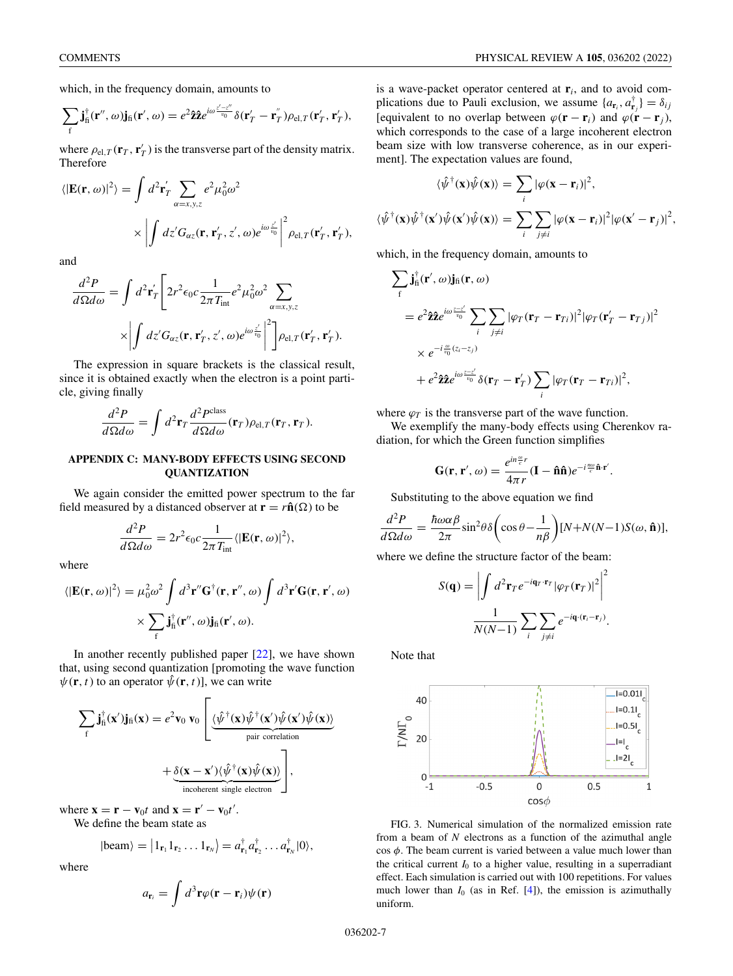<span id="page-6-0"></span>which, in the frequency domain, amounts to

$$
\sum_{\mathbf{f}} \mathbf{j}_{\mathbf{f}}^{\dagger}(\mathbf{r}'', \omega) \mathbf{j}_{\mathbf{f}}(\mathbf{r}', \omega) = e^{2} \hat{\mathbf{z}} \hat{\mathbf{z}} e^{i\omega \frac{z'-z''}{v_0}} \delta(\mathbf{r}'_{T} - \mathbf{r}^{''}_{T}) \rho_{\mathrm{el},T}(\mathbf{r}'_{T}, \mathbf{r}'_{T}),
$$

where  $\rho_{el,T}(\mathbf{r}_T, \mathbf{r}_T)$  is the transverse part of the density matrix. Therefore

$$
\langle |\mathbf{E}(\mathbf{r}, \omega)|^2 \rangle = \int d^2 \mathbf{r}'_T \sum_{\alpha = x, y, z} e^2 \mu_0^2 \omega^2
$$

$$
\times \left| \int dz' G_{\alpha z}(\mathbf{r}, \mathbf{r}'_T, z', \omega) e^{i\omega \frac{z'}{v_0}} \right|^2 \rho_{el, T}(\mathbf{r}'_T, \mathbf{r}'_T),
$$

and

$$
\frac{d^2P}{d\Omega d\omega} = \int d^2 \mathbf{r}'_T \left[ 2r^2 \epsilon_0 c \frac{1}{2\pi T_{\text{int}}} e^2 \mu_0^2 \omega^2 \sum_{\alpha = x, y, z} \times \left| \int dz' G_{\alpha z}(\mathbf{r}, \mathbf{r}'_T, z', \omega) e^{i\omega \frac{z'}{v_0}} \right|^2 \right] \rho_{\text{el},T}(\mathbf{r}'_T, \mathbf{r}'_T).
$$

The expression in square brackets is the classical result, since it is obtained exactly when the electron is a point particle, giving finally

$$
\frac{d^2P}{d\Omega d\omega} = \int d^2 \mathbf{r}_T \frac{d^2 P^{\text{class}}}{d\Omega d\omega}(\mathbf{r}_T) \rho_{\text{el},T}(\mathbf{r}_T, \mathbf{r}_T).
$$

#### **APPENDIX C: MANY-BODY EFFECTS USING SECOND QUANTIZATION**

We again consider the emitted power spectrum to the far field measured by a distanced observer at  $\mathbf{r} = r\hat{\mathbf{n}}(\Omega)$  to be

$$
\frac{d^2P}{d\Omega d\omega} = 2r^2 \epsilon_0 c \frac{1}{2\pi T_{\text{int}}} \langle |\mathbf{E}(\mathbf{r}, \omega)|^2 \rangle,
$$

where

$$
\langle |\mathbf{E}(\mathbf{r}, \omega)|^2 \rangle = \mu_0^2 \omega^2 \int d^3 \mathbf{r}'' \mathbf{G}^{\dagger}(\mathbf{r}, \mathbf{r}'', \omega) \int d^3 \mathbf{r}' \mathbf{G}(\mathbf{r}, \mathbf{r}', \omega) \times \sum_{\mathbf{f}} \mathbf{j}_{\mathbf{f} \mathbf{i}}^{\dagger}(\mathbf{r}'', \omega) \mathbf{j}_{\mathbf{f} \mathbf{i}}(\mathbf{r}', \omega).
$$

In another recently published paper  $[22]$ , we have shown that, using second quantization [promoting the wave function  $\psi(\mathbf{r}, t)$  to an operator  $\hat{\psi}(\mathbf{r}, t)$ , we can write

$$
\sum_{f} \mathbf{j}_{f}^{\dagger}(\mathbf{x}') \mathbf{j}_{f1}(\mathbf{x}) = e^2 v_0 v_0 \left[ \underbrace{\langle \hat{\psi}^{\dagger}(\mathbf{x}) \hat{\psi}^{\dagger}(\mathbf{x}') \hat{\psi}(\mathbf{x}') \hat{\psi}(\mathbf{x}) \rangle}_{\text{pair correlation}} + \underbrace{\delta(\mathbf{x} - \mathbf{x}') \langle \hat{\psi}^{\dagger}(\mathbf{x}) \hat{\psi}(\mathbf{x}) \rangle}_{\text{incoherent single electron}} \right],
$$

where  $\mathbf{x} = \mathbf{r} - \mathbf{v}_0 t$  and  $\mathbf{x} = \mathbf{r}' - \mathbf{v}_0 t'$ .

We define the beam state as

$$
|\text{beam}\rangle = |1_{\mathbf{r}_1} 1_{\mathbf{r}_2} \dots 1_{\mathbf{r}_N} \rangle = a_{\mathbf{r}_1}^{\dagger} a_{\mathbf{r}_2}^{\dagger} \dots a_{\mathbf{r}_N}^{\dagger} |0\rangle,
$$

where

$$
a_{\mathbf{r}_i} = \int d^3 \mathbf{r} \varphi(\mathbf{r} - \mathbf{r}_i) \psi(\mathbf{r})
$$

is a wave-packet operator centered at **r***i*, and to avoid complications due to Pauli exclusion, we assume  $\{a_{\mathbf{r}_i}, a_{\mathbf{r}_j}^{\dagger}\} = \delta_{ij}$ [equivalent to no overlap between  $\varphi(\mathbf{r} - \mathbf{r}_i)$  and  $\varphi(\mathbf{r} - \mathbf{r}_i)$ , which corresponds to the case of a large incoherent electron beam size with low transverse coherence, as in our experiment]. The expectation values are found,

$$
\langle \hat{\psi}^{\dagger}(\mathbf{x})\hat{\psi}(\mathbf{x})\rangle = \sum_{i} |\varphi(\mathbf{x}-\mathbf{r}_{i})|^{2},
$$

$$
\langle \hat{\psi}^{\dagger}(\mathbf{x})\hat{\psi}(\mathbf{x}')\hat{\psi}(\mathbf{x}')\hat{\psi}(\mathbf{x})\rangle = \sum_{i} \sum_{j\neq i} |\varphi(\mathbf{x}-\mathbf{r}_{i})|^{2} |\varphi(\mathbf{x}'-\mathbf{r}_{j})|^{2},
$$

which, in the frequency domain, amounts to

$$
\sum_{f} \mathbf{j}_{\text{fi}}^{\dagger}(\mathbf{r}', \omega) \mathbf{j}_{\text{fi}}(\mathbf{r}, \omega)
$$
\n
$$
= e^{2} \hat{\mathbf{z}} \hat{\mathbf{z}} e^{i\omega \frac{z-\zeta'}{v_0}} \sum_{i} \sum_{j \neq i} |\varphi_{T}(\mathbf{r}_{T} - \mathbf{r}_{Ti})|^{2} |\varphi_{T}(\mathbf{r}_{T}' - \mathbf{r}_{Tj})|^{2}
$$
\n
$$
\times e^{-i \frac{\omega}{v_0}(z_{i}-z_{j})}
$$
\n
$$
+ e^{2} \hat{\mathbf{z}} \hat{\mathbf{z}} e^{i\omega \frac{z-\zeta'}{v_0}} \delta(\mathbf{r}_{T} - \mathbf{r}_{T}') \sum_{i} |\varphi_{T}(\mathbf{r}_{T} - \mathbf{r}_{Ti})|^{2},
$$

where  $\varphi_T$  is the transverse part of the wave function.

We exemplify the many-body effects using Cherenkov radiation, for which the Green function simplifies

$$
\mathbf{G}(\mathbf{r},\mathbf{r}',\omega) = \frac{e^{in\frac{\omega}{c}r}}{4\pi r}(\mathbf{I} - \mathbf{\hat{n}}\mathbf{\hat{n}})e^{-i\frac{n\omega}{c}\mathbf{\hat{n}}\cdot\mathbf{r}'}.
$$

Substituting to the above equation we find

$$
\frac{d^2P}{d\Omega d\omega} = \frac{\hbar\omega\alpha\beta}{2\pi}\sin^2\theta\delta\left(\cos\theta - \frac{1}{n\beta}\right)[N + N(N-1)S(\omega, \hat{\mathbf{n}})],
$$

where we define the structure factor of the beam:

$$
S(\mathbf{q}) = \left| \int d^2 \mathbf{r}_T e^{-i\mathbf{q}_T \cdot \mathbf{r}_T} |\varphi_T(\mathbf{r}_T)|^2 \right|^2
$$

$$
\frac{1}{N(N-1)} \sum_i \sum_{j \neq i} e^{-i\mathbf{q} \cdot (\mathbf{r}_i - \mathbf{r}_j)}.
$$

Note that



FIG. 3. Numerical simulation of the normalized emission rate from a beam of *N* electrons as a function of the azimuthal angle  $\cos \phi$ . The beam current is varied between a value much lower than the critical current  $I_0$  to a higher value, resulting in a superradiant effect. Each simulation is carried out with 100 repetitions. For values much lower than  $I_0$  (as in Ref.  $[4]$ ), the emission is azimuthally uniform.